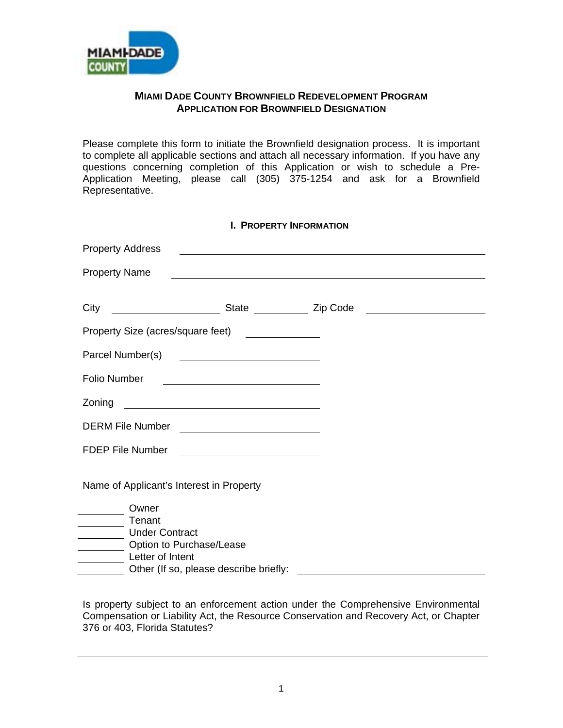

## **MIAMI DADE COUNTY BROWNFIELD REDEVELOPMENT PROGRAM APPLICATION FOR BROWNFIELD DESIGNATION**

Please complete this form to initiate the Brownfield designation process. It is important to complete all applicable sections and attach all necessary information. If you have any questions concerning completion of this Application or wish to schedule a Pre-Application Meeting, please call (305) 375-1254 and ask for a Brownfield Representative.

| <b>I. PROPERTY INFORMATION</b>           |                                                              |                                                                                                                        |                                                     |  |
|------------------------------------------|--------------------------------------------------------------|------------------------------------------------------------------------------------------------------------------------|-----------------------------------------------------|--|
| <b>Property Address</b>                  |                                                              | <u> 1989 - Johann Stoff, deutscher Stoffen und der Stoffen und der Stoffen und der Stoffen und der Stoffen und der</u> |                                                     |  |
| <b>Property Name</b>                     |                                                              | <u> 1980 - Johann Barnett, fransk politik (f. 1980)</u>                                                                |                                                     |  |
|                                          |                                                              |                                                                                                                        |                                                     |  |
| City                                     |                                                              | State <b>Zip Code</b>                                                                                                  | <u> 1980 - Andrea Station Barbara, amerikan per</u> |  |
| Property Size (acres/square feet)        |                                                              |                                                                                                                        |                                                     |  |
| Parcel Number(s)                         | <u> 1989 - Johann Barbara, martxa alemaniar a</u>            |                                                                                                                        |                                                     |  |
| <b>Folio Number</b>                      |                                                              |                                                                                                                        |                                                     |  |
| Zoning                                   | <u> 1989 - Johann Barbara, martxa eta idazlea (h. 1989).</u> |                                                                                                                        |                                                     |  |
| <b>DERM File Number</b>                  |                                                              |                                                                                                                        |                                                     |  |
| <b>FDEP File Number</b>                  | <u> 1989 - Johann Barbara, martin a</u>                      |                                                                                                                        |                                                     |  |
|                                          |                                                              |                                                                                                                        |                                                     |  |
| Name of Applicant's Interest in Property |                                                              |                                                                                                                        |                                                     |  |
| Owner                                    |                                                              |                                                                                                                        |                                                     |  |
| Tenant                                   |                                                              |                                                                                                                        |                                                     |  |
| <b>Under Contract</b>                    |                                                              |                                                                                                                        |                                                     |  |
| Letter of Intent                         | Option to Purchase/Lease                                     |                                                                                                                        |                                                     |  |
|                                          | Other (If so, please describe briefly:                       |                                                                                                                        |                                                     |  |

Is property subject to an enforcement action under the Comprehensive Environmental Compensation or Liability Act, the Resource Conservation and Recovery Act, or Chapter 376 or 403, Florida Statutes?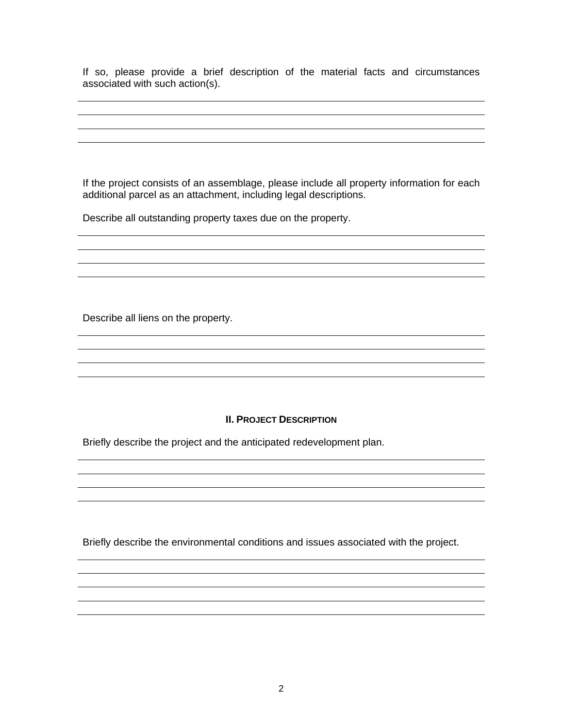If so, please provide a brief description of the material facts and circumstances associated with such action(s).

If the project consists of an assemblage, please include all property information for each additional parcel as an attachment, including legal descriptions.

Describe all outstanding property taxes due on the property.

Describe all liens on the property.

## **II. PROJECT DESCRIPTION**

<u> 1980 - Johann Stoff, deutscher Stoff, der Stoff, der Stoff, der Stoff, der Stoff, der Stoff, der Stoff, der S</u>

Briefly describe the project and the anticipated redevelopment plan.

Briefly describe the environmental conditions and issues associated with the project.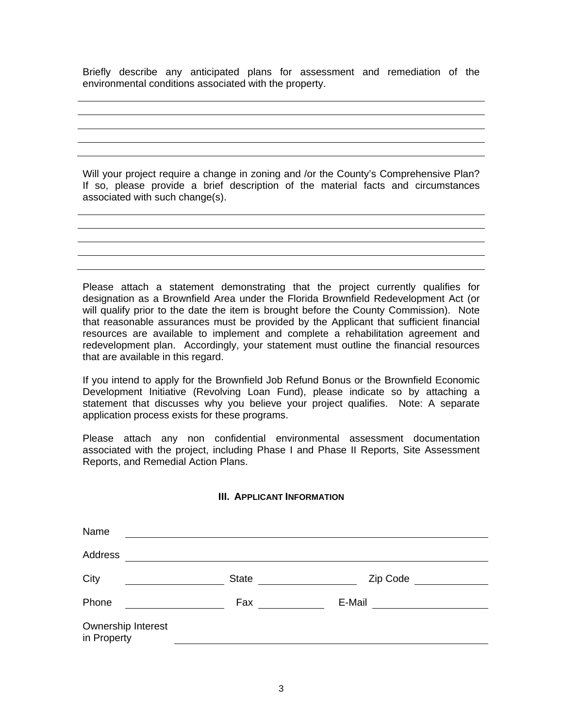Briefly describe any anticipated plans for assessment and remediation of the environmental conditions associated with the property.

Will your project require a change in zoning and /or the County's Comprehensive Plan? If so, please provide a brief description of the material facts and circumstances associated with such change(s).

Please attach a statement demonstrating that the project currently qualifies for designation as a Brownfield Area under the Florida Brownfield Redevelopment Act (or will qualify prior to the date the item is brought before the County Commission). Note that reasonable assurances must be provided by the Applicant that sufficient financial resources are available to implement and complete a rehabilitation agreement and redevelopment plan. Accordingly, your statement must outline the financial resources that are available in this regard.

If you intend to apply for the Brownfield Job Refund Bonus or the Brownfield Economic Development Initiative (Revolving Loan Fund), please indicate so by attaching a statement that discusses why you believe your project qualifies. Note: A separate application process exists for these programs.

Please attach any non confidential environmental assessment documentation associated with the project, including Phase I and Phase II Reports, Site Assessment Reports, and Remedial Action Plans.

#### **III. APPLICANT INFORMATION**

| Name                              |              |          |  |
|-----------------------------------|--------------|----------|--|
| Address                           |              |          |  |
| City                              | <b>State</b> | Zip Code |  |
| Phone                             | Fax          | E-Mail   |  |
| Ownership Interest<br>in Property |              |          |  |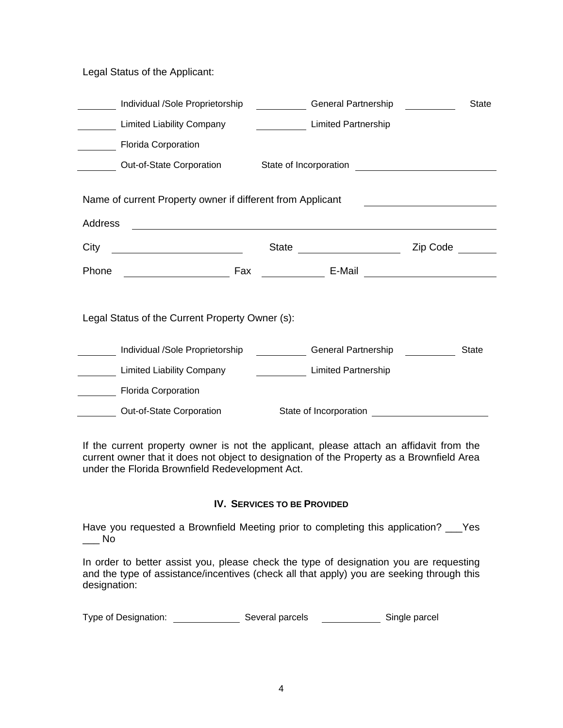Legal Status of the Applicant:

|                                                            | Individual /Sole Proprietorship                 | General Partnership                                                                                                                                                                                                                    |          | <b>State</b> |
|------------------------------------------------------------|-------------------------------------------------|----------------------------------------------------------------------------------------------------------------------------------------------------------------------------------------------------------------------------------------|----------|--------------|
|                                                            | <b>Limited Liability Company</b>                | <b>Limited Partnership</b>                                                                                                                                                                                                             |          |              |
|                                                            | <b>Florida Corporation</b>                      |                                                                                                                                                                                                                                        |          |              |
|                                                            | Out-of-State Corporation                        | State of Incorporation<br><u> and a manufacture of the contract of the state of the state of the state of the state of the state of the state of the state of the state of the state of the state of the state of the state of the</u> |          |              |
| Name of current Property owner if different from Applicant |                                                 |                                                                                                                                                                                                                                        |          |              |
| Address                                                    |                                                 |                                                                                                                                                                                                                                        |          |              |
| City                                                       |                                                 | State<br><u> The Communication of the Communication</u>                                                                                                                                                                                | Zip Code |              |
|                                                            |                                                 |                                                                                                                                                                                                                                        |          |              |
| Phone                                                      |                                                 | E-Mail                                                                                                                                                                                                                                 |          |              |
|                                                            | Legal Status of the Current Property Owner (s): |                                                                                                                                                                                                                                        |          |              |
|                                                            | Individual /Sole Proprietorship                 | General Partnership                                                                                                                                                                                                                    |          | <b>State</b> |
|                                                            | <b>Limited Liability Company</b>                | <b>Limited Partnership</b>                                                                                                                                                                                                             |          |              |
|                                                            | <b>Florida Corporation</b>                      |                                                                                                                                                                                                                                        |          |              |

If the current property owner is not the applicant, please attach an affidavit from the current owner that it does not object to designation of the Property as a Brownfield Area under the Florida Brownfield Redevelopment Act.

## **IV. SERVICES TO BE PROVIDED**

Have you requested a Brownfield Meeting prior to completing this application? \_\_\_Yes  $\overline{\phantom{0}}$  No

In order to better assist you, please check the type of designation you are requesting and the type of assistance/incentives (check all that apply) you are seeking through this designation:

| Type of Designation: | Several parcels | Single parcel |
|----------------------|-----------------|---------------|
|----------------------|-----------------|---------------|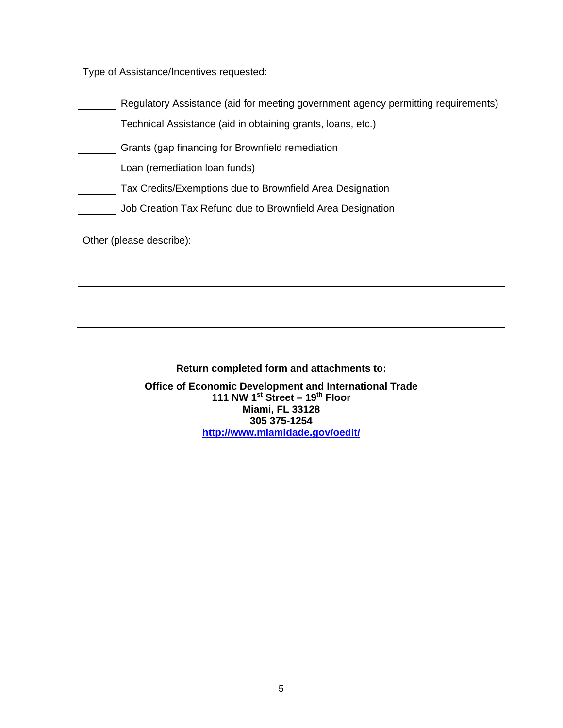Type of Assistance/Incentives requested:

- Regulatory Assistance (aid for meeting government agency permitting requirements)
- Technical Assistance (aid in obtaining grants, loans, etc.)
- Grants (gap financing for Brownfield remediation
- Loan (remediation loan funds)
- **Tax Credits/Exemptions due to Brownfield Area Designation**
- Job Creation Tax Refund due to Brownfield Area Designation

Other (please describe):

# **Return completed form and attachments to:**

**Office of Economic Development and International Trade 111 NW 1st Street – 19th Floor Miami, FL 33128 305 375-1254 http://www.miamidade.gov/oedit/**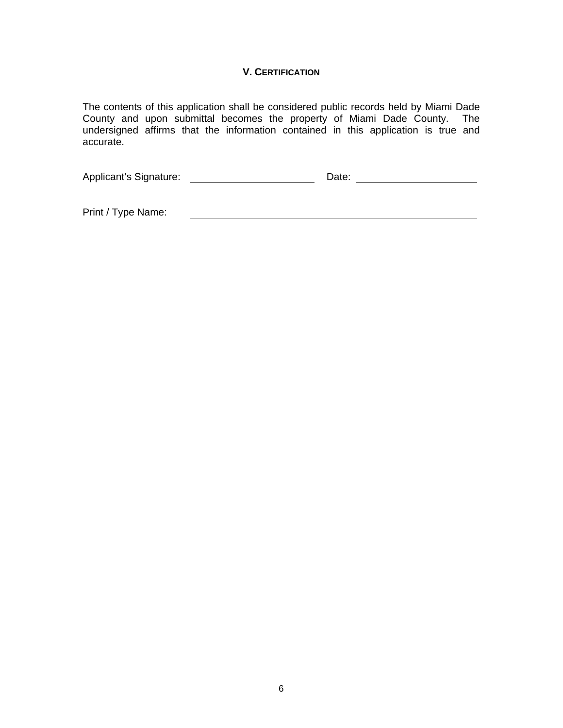# **V. CERTIFICATION**

The contents of this application shall be considered public records held by Miami Dade County and upon submittal becomes the property of Miami Dade County. The undersigned affirms that the information contained in this application is true and accurate.

Applicant's Signature: Date: Date: Date: Date: Date: Date: Date: Date: Date: Date: Date: Date: Date: Date: Date: Date: Date: Date: Date: Date: Date: Date: Date: Date: Date: Date: Date: Date: Date: Date: Date: Date: Date: D

<u> 1989 - Johann Barn, mars and de Brasilian (b. 1989)</u>

Print / Type Name: